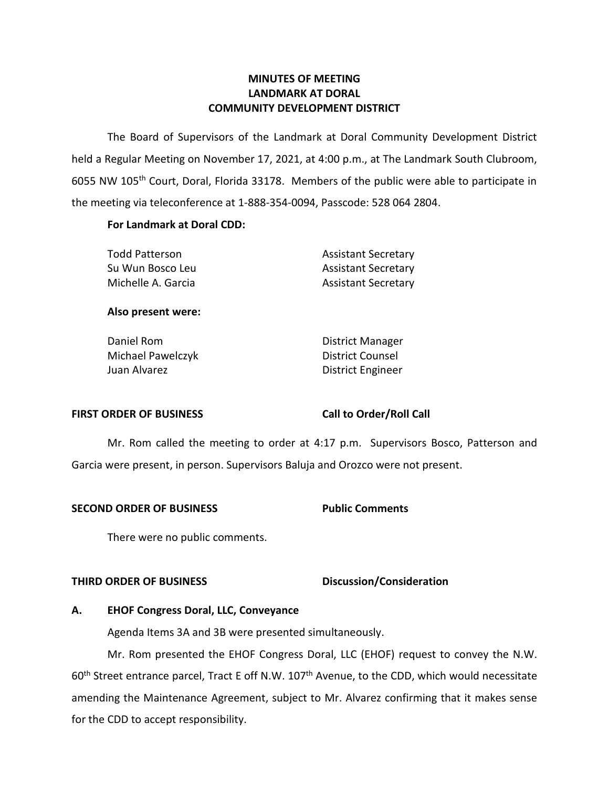# **LANDMARK AT DORAL MINUTES OF MEETING COMMUNITY DEVELOPMENT DISTRICT**

 The Board of Supervisors of the Landmark at Doral Community Development District held a Regular Meeting on November 17, 2021, at 4:00 p.m., at The Landmark South Clubroom, 6055 NW 105<sup>th</sup> Court, Doral, Florida 33178. Members of the public were able to participate in the meeting via teleconference at 1-888-354-0094, Passcode: 528 064 2804.

# **For Landmark at Doral CDD:**

| <b>Todd Patterson</b> | <b>Assistant Secretary</b> |
|-----------------------|----------------------------|
| Su Wun Bosco Leu      | <b>Assistant Secretary</b> |
| Michelle A. Garcia    | <b>Assistant Secretary</b> |

# **Also present were:**

| District Manager         |
|--------------------------|
| District Counsel         |
| <b>District Engineer</b> |
|                          |

# **FIRST ORDER OF BUSINESS Call to Order/Roll Call**

 Mr. Rom called the meeting to order at 4:17 p.m. Supervisors Bosco, Patterson and Garcia were present, in person. Supervisors Baluja and Orozco were not present.

### **SECOND ORDER OF BUSINESS Public Comments**

There were no public comments.

# **THIRD ORDER OF BUSINESS CONSIDERED BUSICAL DISCUSSION/Consideration**

# **A. EHOF Congress Doral, LLC, Conveyance**

Agenda Items 3A and 3B were presented simultaneously.

Mr. Rom presented the EHOF Congress Doral, LLC (EHOF) request to convey the N.W. 60<sup>th</sup> Street entrance parcel, Tract E off N.W. 107<sup>th</sup> Avenue, to the CDD, which would necessitate amending the Maintenance Agreement, subject to Mr. Alvarez confirming that it makes sense for the CDD to accept responsibility.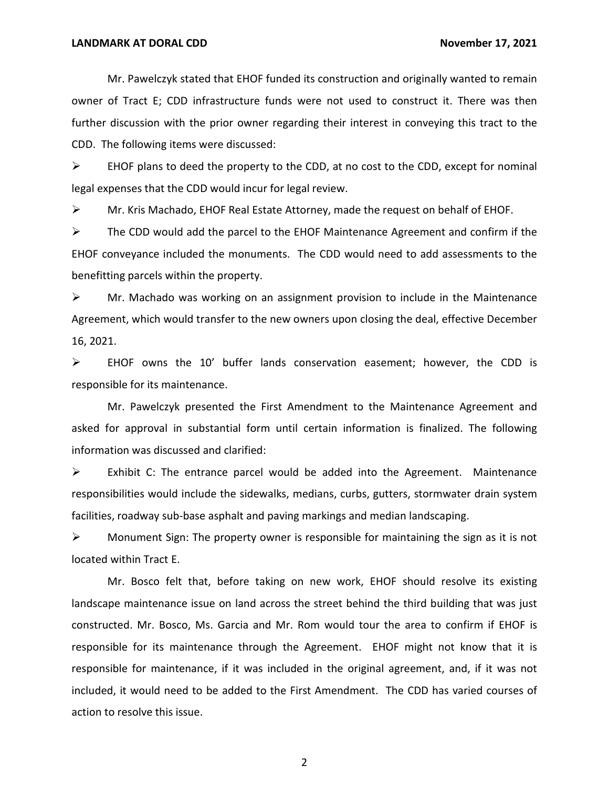Mr. Pawelczyk stated that EHOF funded its construction and originally wanted to remain owner of Tract E; CDD infrastructure funds were not used to construct it. There was then further discussion with the prior owner regarding their interest in conveying this tract to the CDD. The following items were discussed:

➢ EHOF plans to deed the property to the CDD, at no cost to the CDD, except for nominal legal expenses that the CDD would incur for legal review.

 $\triangleright$  Mr. Kris Machado, EHOF Real Estate Attorney, made the request on behalf of EHOF.

 $\triangleright$  The CDD would add the parcel to the EHOF Maintenance Agreement and confirm if the EHOF conveyance included the monuments. The CDD would need to add assessments to the benefitting parcels within the property.

➢ Mr. Machado was working on an assignment provision to include in the Maintenance Agreement, which would transfer to the new owners upon closing the deal, effective December 16, 2021.

➢ EHOF owns the 10' buffer lands conservation easement; however, the CDD is responsible for its maintenance.

Mr. Pawelczyk presented the First Amendment to the Maintenance Agreement and asked for approval in substantial form until certain information is finalized. The following information was discussed and clarified:

 $\triangleright$  Exhibit C: The entrance parcel would be added into the Agreement. Maintenance responsibilities would include the sidewalks, medians, curbs, gutters, stormwater drain system facilities, roadway sub-base asphalt and paving markings and median landscaping.

 $\triangleright$  Monument Sign: The property owner is responsible for maintaining the sign as it is not located within Tract E.

Mr. Bosco felt that, before taking on new work, EHOF should resolve its existing landscape maintenance issue on land across the street behind the third building that was just constructed. Mr. Bosco, Ms. Garcia and Mr. Rom would tour the area to confirm if EHOF is responsible for its maintenance through the Agreement. EHOF might not know that it is responsible for maintenance, if it was included in the original agreement, and, if it was not included, it would need to be added to the First Amendment. The CDD has varied courses of action to resolve this issue.

2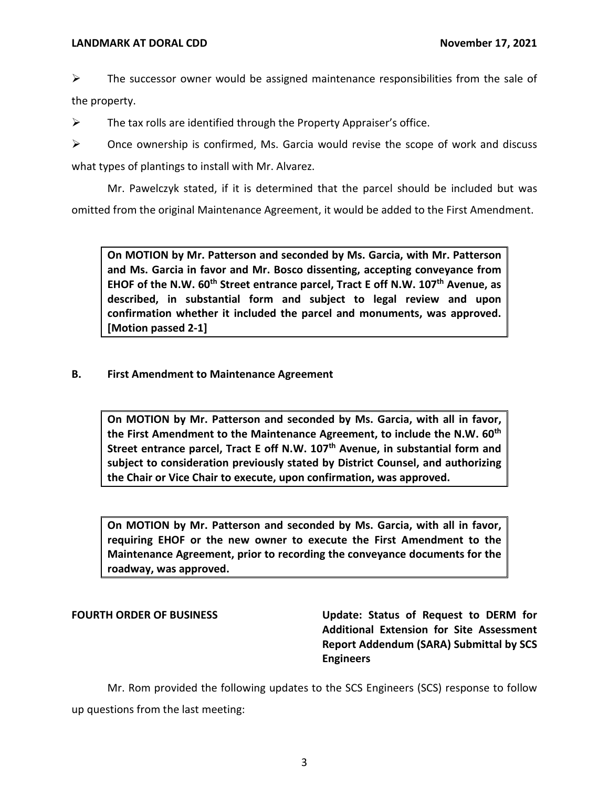$\triangleright$  The successor owner would be assigned maintenance responsibilities from the sale of the property.

 $\triangleright$  The tax rolls are identified through the Property Appraiser's office.

 $\triangleright$  Once ownership is confirmed, Ms. Garcia would revise the scope of work and discuss what types of plantings to install with Mr. Alvarez.

Mr. Pawelczyk stated, if it is determined that the parcel should be included but was omitted from the original Maintenance Agreement, it would be added to the First Amendment.

 **On MOTION by Mr. Patterson and seconded by Ms. Garcia, with Mr. Patterson and Ms. Garcia in favor and Mr. Bosco dissenting, accepting conveyance from**  EHOF of the N.W. 60<sup>th</sup> Street entrance parcel, Tract E off N.W. 107<sup>th</sup> Avenue, as **described, in substantial form and subject to legal review and upon confirmation whether it included the parcel and monuments, was approved. [Motion passed 2-1]** 

# **B. First Amendment to Maintenance Agreement**

 **On MOTION by Mr. Patterson and seconded by Ms. Garcia, with all in favor, the First Amendment to the Maintenance Agreement, to include the N.W. 60th**  Street entrance parcel, Tract E off N.W. 107<sup>th</sup> Avenue, in substantial form and **subject to consideration previously stated by District Counsel, and authorizing the Chair or Vice Chair to execute, upon confirmation, was approved.** 

 **On MOTION by Mr. Patterson and seconded by Ms. Garcia, with all in favor, requiring EHOF or the new owner to execute the First Amendment to the Maintenance Agreement, prior to recording the conveyance documents for the roadway, was approved.** 

**FOURTH ORDER OF BUSINESS Update: Status of Request to DERM for Additional Extension for Site Assessment Report Addendum (SARA) Submittal by SCS Engineers** 

Mr. Rom provided the following updates to the SCS Engineers (SCS) response to follow up questions from the last meeting: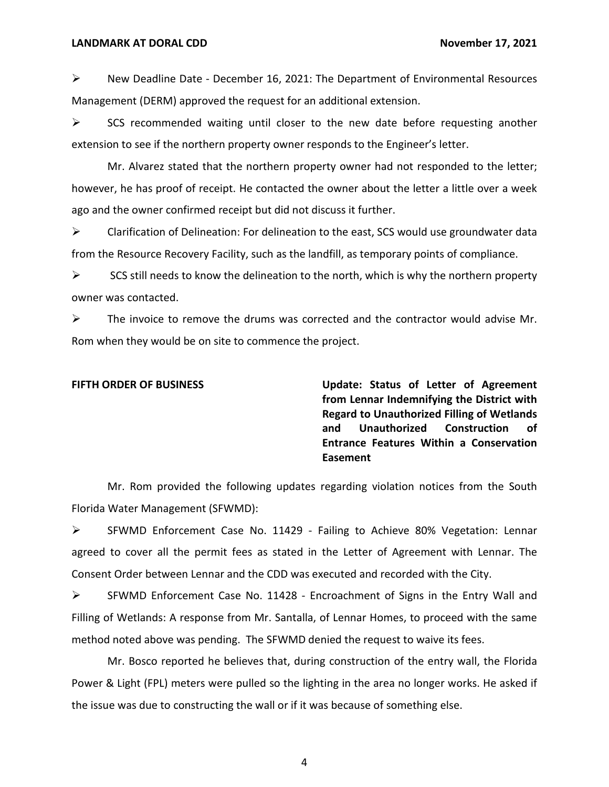$\triangleright$  New Deadline Date - December 16, 2021: The Department of Environmental Resources Management (DERM) approved the request for an additional extension.

 $\triangleright$  SCS recommended waiting until closer to the new date before requesting another extension to see if the northern property owner responds to the Engineer's letter.

Mr. Alvarez stated that the northern property owner had not responded to the letter; however, he has proof of receipt. He contacted the owner about the letter a little over a week ago and the owner confirmed receipt but did not discuss it further.

 $\triangleright$  Clarification of Delineation: For delineation to the east, SCS would use groundwater data from the Resource Recovery Facility, such as the landfill, as temporary points of compliance.

 $\triangleright$  SCS still needs to know the delineation to the north, which is why the northern property owner was contacted.

 $\triangleright$  The invoice to remove the drums was corrected and the contractor would advise Mr. Rom when they would be on site to commence the project.

**FIFTH ORDER OF BUSINESS Update: Status of Letter of Agreement from Lennar Indemnifying the District with Regard to Unauthorized Filling of Wetlands and Unauthorized Construction of Entrance Features Within a Conservation Easement** 

Mr. Rom provided the following updates regarding violation notices from the South Florida Water Management (SFWMD):

➢ SFWMD Enforcement Case No. 11429 - Failing to Achieve 80% Vegetation: Lennar agreed to cover all the permit fees as stated in the Letter of Agreement with Lennar. The Consent Order between Lennar and the CDD was executed and recorded with the City.

➢ SFWMD Enforcement Case No. 11428 - Encroachment of Signs in the Entry Wall and Filling of Wetlands: A response from Mr. Santalla, of Lennar Homes, to proceed with the same method noted above was pending. The SFWMD denied the request to waive its fees.

Mr. Bosco reported he believes that, during construction of the entry wall, the Florida Power & Light (FPL) meters were pulled so the lighting in the area no longer works. He asked if the issue was due to constructing the wall or if it was because of something else.

4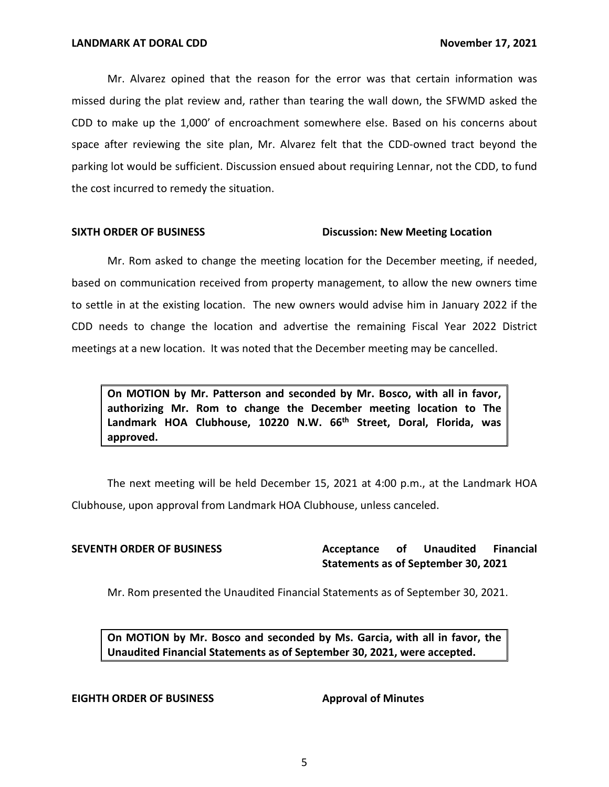Mr. Alvarez opined that the reason for the error was that certain information was missed during the plat review and, rather than tearing the wall down, the SFWMD asked the CDD to make up the 1,000' of encroachment somewhere else. Based on his concerns about space after reviewing the site plan, Mr. Alvarez felt that the CDD-owned tract beyond the parking lot would be sufficient. Discussion ensued about requiring Lennar, not the CDD, to fund the cost incurred to remedy the situation.

# **SIXTH ORDER OF BUSINESS Discussion: New Meeting Location**

Mr. Rom asked to change the meeting location for the December meeting, if needed, based on communication received from property management, to allow the new owners time to settle in at the existing location. The new owners would advise him in January 2022 if the CDD needs to change the location and advertise the remaining Fiscal Year 2022 District meetings at a new location. It was noted that the December meeting may be cancelled.

 **On MOTION by Mr. Patterson and seconded by Mr. Bosco, with all in favor, authorizing Mr. Rom to change the December meeting location to The**  Landmark HOA Clubhouse, 10220 N.W. 66<sup>th</sup> Street, Doral, Florida, was **approved.** 

The next meeting will be held December 15, 2021 at 4:00 p.m., at the Landmark HOA Clubhouse, upon approval from Landmark HOA Clubhouse, unless canceled.

**SEVENTH ORDER OF BUSINESS Acceptance of Unaudited Financial Statements as of September 30, 2021** 

Mr. Rom presented the Unaudited Financial Statements as of September 30, 2021.

 **On MOTION by Mr. Bosco and seconded by Ms. Garcia, with all in favor, the Unaudited Financial Statements as of September 30, 2021, were accepted.** 

### **EIGHTH ORDER OF BUSINESS Approval of Minutes**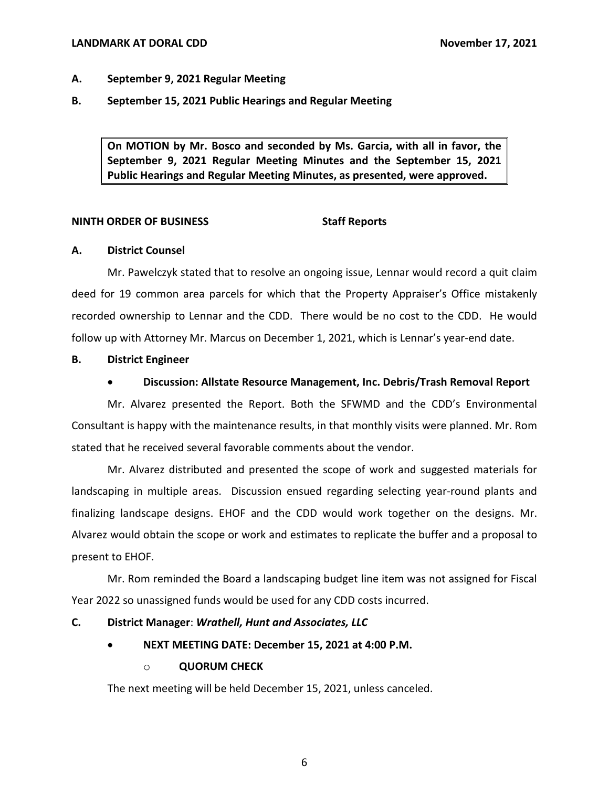# **LANDMARK AT DORAL CDD** *COND* **CONDUCTER 17, 2021**

# **A. September 9, 2021 Regular Meeting**

**B. September 15, 2021 Public Hearings and Regular Meeting** 

 **On MOTION by Mr. Bosco and seconded by Ms. Garcia, with all in favor, the September 9, 2021 Regular Meeting Minutes and the September 15, 2021 Public Hearings and Regular Meeting Minutes, as presented, were approved.** 

# **NINTH ORDER OF BUSINESS** Staff Reports

### **A. District Counsel**

Mr. Pawelczyk stated that to resolve an ongoing issue, Lennar would record a quit claim deed for 19 common area parcels for which that the Property Appraiser's Office mistakenly recorded ownership to Lennar and the CDD. There would be no cost to the CDD. He would follow up with Attorney Mr. Marcus on December 1, 2021, which is Lennar's year-end date.

# **B. District Engineer**

# • **Discussion: Allstate Resource Management, Inc. Debris/Trash Removal Report**

Mr. Alvarez presented the Report. Both the SFWMD and the CDD's Environmental Consultant is happy with the maintenance results, in that monthly visits were planned. Mr. Rom stated that he received several favorable comments about the vendor.

Mr. Alvarez distributed and presented the scope of work and suggested materials for landscaping in multiple areas. Discussion ensued regarding selecting year-round plants and finalizing landscape designs. EHOF and the CDD would work together on the designs. Mr. Alvarez would obtain the scope or work and estimates to replicate the buffer and a proposal to present to EHOF.

Mr. Rom reminded the Board a landscaping budget line item was not assigned for Fiscal Year 2022 so unassigned funds would be used for any CDD costs incurred.

# **C. District Manager**: *Wrathell, Hunt and Associates, LLC*

 • **NEXT MEETING DATE: December 15, 2021 at 4:00 P.M.** 

# o **QUORUM CHECK**

The next meeting will be held December 15, 2021, unless canceled.

6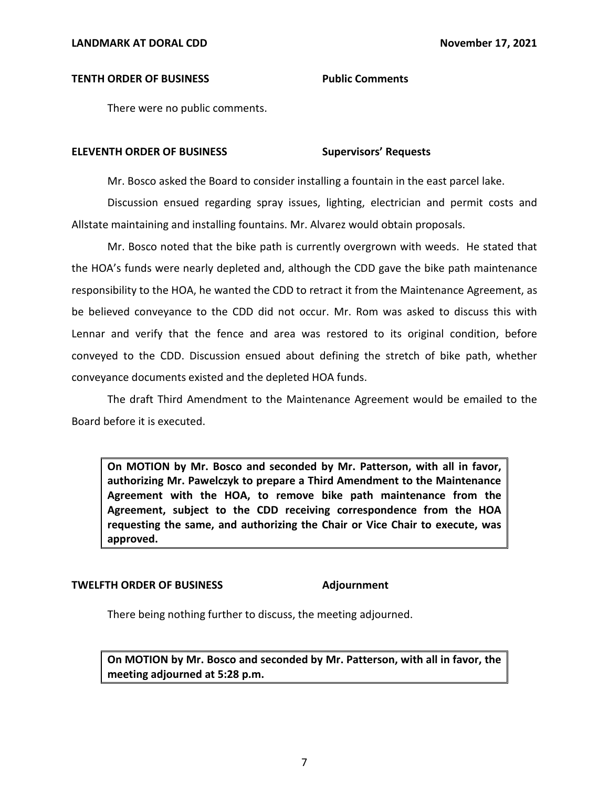# **TENTH ORDER OF BUSINESS Public Comments**

There were no public comments.

### **Supervisors' Requests ELEVENTH ORDER OF BUSINESS**

Mr. Bosco asked the Board to consider installing a fountain in the east parcel lake.

Discussion ensued regarding spray issues, lighting, electrician and permit costs and Allstate maintaining and installing fountains. Mr. Alvarez would obtain proposals.

Mr. Bosco noted that the bike path is currently overgrown with weeds. He stated that the HOA's funds were nearly depleted and, although the CDD gave the bike path maintenance responsibility to the HOA, he wanted the CDD to retract it from the Maintenance Agreement, as be believed conveyance to the CDD did not occur. Mr. Rom was asked to discuss this with Lennar and verify that the fence and area was restored to its original condition, before conveyed to the CDD. Discussion ensued about defining the stretch of bike path, whether conveyance documents existed and the depleted HOA funds.

The draft Third Amendment to the Maintenance Agreement would be emailed to the Board before it is executed.

 **On MOTION by Mr. Bosco and seconded by Mr. Patterson, with all in favor, authorizing Mr. Pawelczyk to prepare a Third Amendment to the Maintenance Agreement with the HOA, to remove bike path maintenance from the Agreement, subject to the CDD receiving correspondence from the HOA requesting the same, and authorizing the Chair or Vice Chair to execute, was approved.** 

### **TWELFTH ORDER OF BUSINESS Adjournment**

There being nothing further to discuss, the meeting adjourned.

 **On MOTION by Mr. Bosco and seconded by Mr. Patterson, with all in favor, the meeting adjourned at 5:28 p.m.**